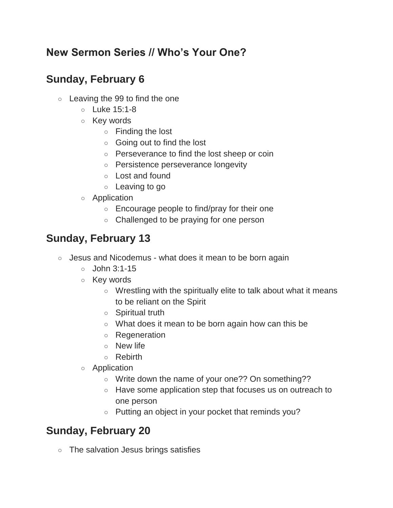### **New Sermon Series // Who's Your One?**

## **Sunday, February 6**

- $\circ$  Leaving the 99 to find the one
	- Luke 15:1-8
	- Key words
		- Finding the lost
		- Going out to find the lost
		- Perseverance to find the lost sheep or coin
		- Persistence perseverance longevity
		- Lost and found
		- Leaving to go
	- Application
		- Encourage people to find/pray for their one
		- Challenged to be praying for one person

# **Sunday, February 13**

- Jesus and Nicodemus what does it mean to be born again
	- $\circ$  John 3:1-15
	- Key words
		- Wrestling with the spiritually elite to talk about what it means to be reliant on the Spirit
		- Spiritual truth
		- What does it mean to be born again how can this be
		- Regeneration
		- New life
		- Rebirth
	- Application
		- Write down the name of your one?? On something??
		- Have some application step that focuses us on outreach to one person
		- Putting an object in your pocket that reminds you?

# **Sunday, February 20**

○ The salvation Jesus brings satisfies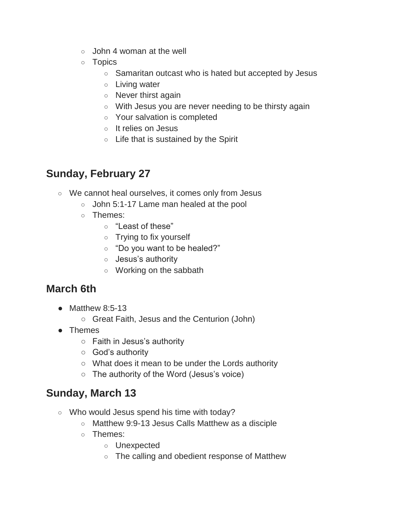- $\circ$  John 4 woman at the well
- Topics
	- Samaritan outcast who is hated but accepted by Jesus
	- Living water
	- Never thirst again
	- With Jesus you are never needing to be thirsty again
	- Your salvation is completed
	- It relies on Jesus
	- Life that is sustained by the Spirit

## **Sunday, February 27**

- We cannot heal ourselves, it comes only from Jesus
	- John 5:1-17 Lame man healed at the pool
	- Themes:
		- "Least of these"
		- Trying to fix yourself
		- "Do you want to be healed?"
		- Jesus's authority
		- Working on the sabbath

### **March 6th**

- $\bullet$  Matthew 8:5-13
	- Great Faith, Jesus and the Centurion (John)
- Themes
	- Faith in Jesus's authority
	- God's authority
	- What does it mean to be under the Lords authority
	- The authority of the Word (Jesus's voice)

#### **Sunday, March 13**

- Who would Jesus spend his time with today?
	- Matthew 9:9-13 Jesus Calls Matthew as a disciple
	- Themes:
		- Unexpected
		- The calling and obedient response of Matthew